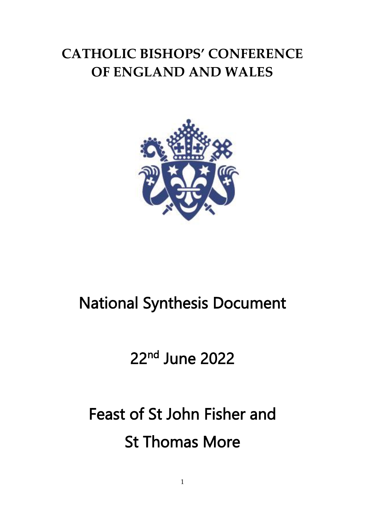## **CATHOLIC BISHOPS' CONFERENCE OF ENGLAND AND WALES**



## National Synthesis Document

## 22<sup>nd</sup> June 2022

# Feast of St John Fisher and St Thomas More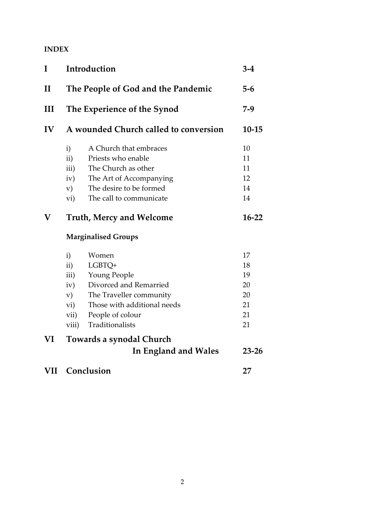### **INDEX**

| I            | Introduction                                                       |                                                                                                                                                            | $3 - 4$                                      |
|--------------|--------------------------------------------------------------------|------------------------------------------------------------------------------------------------------------------------------------------------------------|----------------------------------------------|
| $\mathbf{I}$ | The People of God and the Pandemic<br>The Experience of the Synod  |                                                                                                                                                            | $5 - 6$<br>$7-9$                             |
| Ш            |                                                                    |                                                                                                                                                            |                                              |
| IV           | A wounded Church called to conversion                              |                                                                                                                                                            | $10 - 15$                                    |
|              | i)<br>$\mathbf{ii}$<br>iii)<br>iv)<br>V)<br>vi)                    | A Church that embraces<br>Priests who enable<br>The Church as other<br>The Art of Accompanying<br>The desire to be formed<br>The call to communicate       | 10<br>11<br>11<br>12<br>14<br>14             |
| $\mathbf V$  | <b>Truth, Mercy and Welcome</b>                                    |                                                                                                                                                            | $16-22$                                      |
|              | <b>Marginalised Groups</b>                                         |                                                                                                                                                            |                                              |
|              | i)<br>$\mathbf{ii}$ )<br>iii)<br>iv)<br>V)<br>vi)<br>vii)<br>viii) | Women<br>LGBTQ+<br>Young People<br>Divorced and Remarried<br>The Traveller community<br>Those with additional needs<br>People of colour<br>Traditionalists | 17<br>18<br>19<br>20<br>20<br>21<br>21<br>21 |
| VI           | Towards a synodal Church                                           |                                                                                                                                                            |                                              |
|              |                                                                    | <b>In England and Wales</b>                                                                                                                                | $23 - 26$                                    |
| <b>VII</b>   | Conclusion                                                         |                                                                                                                                                            | 27                                           |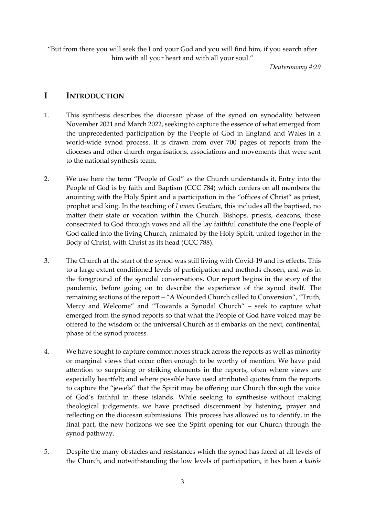"But from there you will seek the Lord your God and you will find him, if you search after him with all your heart and with all your soul."

*Deuteronomy 4:29*

### **I INTRODUCTION**

- 1. This synthesis describes the diocesan phase of the synod on synodality between November 2021 and March 2022, seeking to capture the essence of what emerged from the unprecedented participation by the People of God in England and Wales in a world-wide synod process. It is drawn from over 700 pages of reports from the dioceses and other church organisations, associations and movements that were sent to the national synthesis team.
- 2. We use here the term "People of God" as the Church understands it. Entry into the People of God is by faith and Baptism (CCC 784) which confers on all members the anointing with the Holy Spirit and a participation in the "offices of Christ" as priest, prophet and king. In the teaching of *Lumen Gentium*, this includes all the baptised, no matter their state or vocation within the Church. Bishops, priests, deacons, those consecrated to God through vows and all the lay faithful constitute the one People of God called into the living Church, animated by the Holy Spirit, united together in the Body of Christ, with Christ as its head (CCC 788).
- 3. The Church at the start of the synod was still living with Covid-19 and its effects. This to a large extent conditioned levels of participation and methods chosen, and was in the foreground of the synodal conversations. Our report begins in the story of the pandemic, before going on to describe the experience of the synod itself. The remaining sections of the report – "A Wounded Church called to Conversion", "Truth, Mercy and Welcome" and "Towards a Synodal Church" – seek to capture what emerged from the synod reports so that what the People of God have voiced may be offered to the wisdom of the universal Church as it embarks on the next, continental, phase of the synod process.
- 4. We have sought to capture common notes struck across the reports as well as minority or marginal views that occur often enough to be worthy of mention. We have paid attention to surprising or striking elements in the reports, often where views are especially heartfelt; and where possible have used attributed quotes from the reports to capture the "jewels" that the Spirit may be offering our Church through the voice of God's faithful in these islands. While seeking to synthesise without making theological judgements, we have practised discernment by listening, prayer and reflecting on the diocesan submissions. This process has allowed us to identify, in the final part, the new horizons we see the Spirit opening for our Church through the synod pathway.
- 5. Despite the many obstacles and resistances which the synod has faced at all levels of the Church, and notwithstanding the low levels of participation, it has been a *kairós*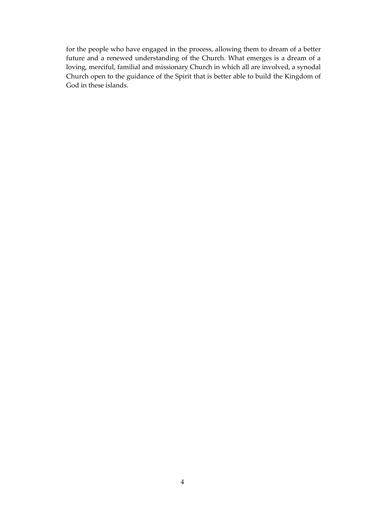for the people who have engaged in the process, allowing them to dream of a better future and a renewed understanding of the Church. What emerges is a dream of a loving, merciful, familial and missionary Church in which all are involved, a synodal Church open to the guidance of the Spirit that is better able to build the Kingdom of God in these islands.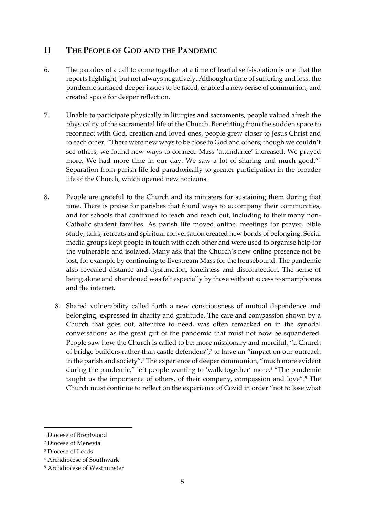## **II THE PEOPLE OF GOD AND THE PANDEMIC**

- 6. The paradox of a call to come together at a time of fearful self-isolation is one that the reports highlight, but not always negatively. Although a time of suffering and loss, the pandemic surfaced deeper issues to be faced, enabled a new sense of communion, and created space for deeper reflection.
- 7. Unable to participate physically in liturgies and sacraments, people valued afresh the physicality of the sacramental life of the Church. Benefitting from the sudden space to reconnect with God, creation and loved ones, people grew closer to Jesus Christ and to each other. "There were new ways to be close to God and others; though we couldn't see others, we found new ways to connect. Mass 'attendance' increased. We prayed more. We had more time in our day. We saw a lot of sharing and much good."<sup>1</sup> Separation from parish life led paradoxically to greater participation in the broader life of the Church, which opened new horizons.
- 8. People are grateful to the Church and its ministers for sustaining them during that time. There is praise for parishes that found ways to accompany their communities, and for schools that continued to teach and reach out, including to their many non-Catholic student families. As parish life moved online, meetings for prayer, bible study, talks, retreats and spiritual conversation created new bonds of belonging. Social media groups kept people in touch with each other and were used to organise help for the vulnerable and isolated. Many ask that the Church's new online presence not be lost, for example by continuing to livestream Mass for the housebound. The pandemic also revealed distance and dysfunction, loneliness and disconnection. The sense of being alone and abandoned was felt especially by those without access to smartphones and the internet.
	- 8. Shared vulnerability called forth a new consciousness of mutual dependence and belonging, expressed in charity and gratitude. The care and compassion shown by a Church that goes out, attentive to need, was often remarked on in the synodal conversations as the great gift of the pandemic that must not now be squandered. People saw how the Church is called to be: more missionary and merciful, "a Church of bridge builders rather than castle defenders", 2 to have an "impact on our outreach in the parish and society". <sup>3</sup> The experience of deeper communion, "much more evident during the pandemic," left people wanting to 'walk together' more.<sup>4</sup> "The pandemic taught us the importance of others, of their company, compassion and love". <sup>5</sup> The Church must continue to reflect on the experience of Covid in order "not to lose what

<sup>1</sup> Diocese of Brentwood

<sup>2</sup> Diocese of Menevia

<sup>3</sup> Diocese of Leeds

<sup>4</sup> Archdiocese of Southwark

<sup>5</sup> Archdiocese of Westminster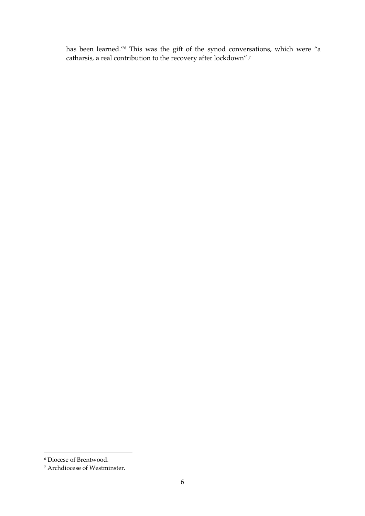has been learned." <sup>6</sup> This was the gift of the synod conversations, which were "a catharsis, a real contribution to the recovery after lockdown". 7

<sup>6</sup> Diocese of Brentwood.

<sup>7</sup> Archdiocese of Westminster.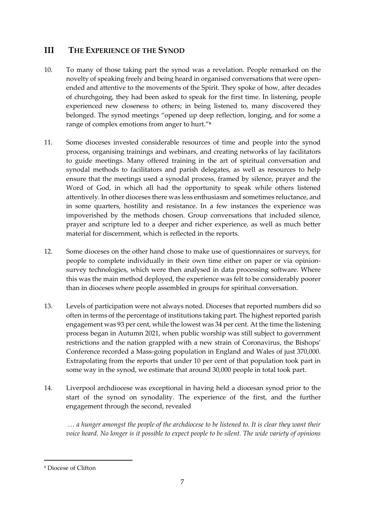## **III THE EXPERIENCE OF THE SYNOD**

- 10. To many of those taking part the synod was a revelation. People remarked on the novelty of speaking freely and being heard in organised conversations that were openended and attentive to the movements of the Spirit. They spoke of how, after decades of churchgoing, they had been asked to speak for the first time. In listening, people experienced new closeness to others; in being listened to, many discovered they belonged. The synod meetings "opened up deep reflection, longing, and for some a range of complex emotions from anger to hurt."<sup>8</sup>
- 11. Some dioceses invested considerable resources of time and people into the synod process, organising trainings and webinars, and creating networks of lay facilitators to guide meetings. Many offered training in the art of spiritual conversation and synodal methods to facilitators and parish delegates, as well as resources to help ensure that the meetings used a synodal process, framed by silence, prayer and the Word of God, in which all had the opportunity to speak while others listened attentively. In other dioceses there was less enthusiasm and sometimes reluctance, and in some quarters, hostility and resistance. In a few instances the experience was impoverished by the methods chosen. Group conversations that included silence, prayer and scripture led to a deeper and richer experience, as well as much better material for discernment, which is reflected in the reports.
- 12. Some dioceses on the other hand chose to make use of questionnaires or surveys, for people to complete individually in their own time either on paper or via opinionsurvey technologies, which were then analysed in data processing software. Where this was the main method deployed, the experience was felt to be considerably poorer than in dioceses where people assembled in groups for spiritual conversation.
- 13. Levels of participation were not always noted. Dioceses that reported numbers did so often in terms of the percentage of institutions taking part. The highest reported parish engagement was 93 per cent, while the lowest was 34 per cent. At the time the listening process began in Autumn 2021, when public worship was still subject to government restrictions and the nation grappled with a new strain of Coronavirus, the Bishops' Conference recorded a Mass-going population in England and Wales of just 370,000. Extrapolating from the reports that under 10 per cent of that population took part in some way in the synod, we estimate that around 30,000 people in total took part.
- 14. Liverpool archdiocese was exceptional in having held a diocesan synod prior to the start of the synod on synodality. The experience of the first, and the further engagement through the second, revealed

*… a hunger amongst the people of the archdiocese to be listened to. It is clear they want their voice heard. No longer is it possible to expect people to be silent. The wide variety of opinions* 

<sup>8</sup> Diocese of Clifton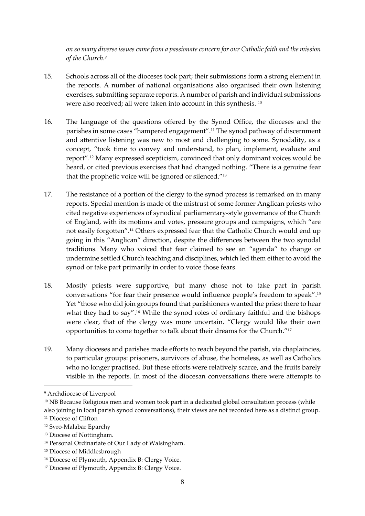*on so many diverse issues came from a passionate concern for our Catholic faith and the mission of the Church. 9*

- 15. Schools across all of the dioceses took part; their submissions form a strong element in the reports. A number of national organisations also organised their own listening exercises, submitting separate reports. A number of parish and individual submissions were also received; all were taken into account in this synthesis. <sup>10</sup>
- 16. The language of the questions offered by the Synod Office, the dioceses and the parishes in some cases "hampered engagement". <sup>11</sup> The synod pathway of discernment and attentive listening was new to most and challenging to some. Synodality, as a concept, "took time to convey and understand, to plan, implement, evaluate and report". <sup>12</sup> Many expressed scepticism, convinced that only dominant voices would be heard, or cited previous exercises that had changed nothing. "There is a genuine fear that the prophetic voice will be ignored or silenced." 13
- 17. The resistance of a portion of the clergy to the synod process is remarked on in many reports. Special mention is made of the mistrust of some former Anglican priests who cited negative experiences of synodical parliamentary-style governance of the Church of England, with its motions and votes, pressure groups and campaigns, which "are not easily forgotten". <sup>14</sup> Others expressed fear that the Catholic Church would end up going in this "Anglican" direction, despite the differences between the two synodal traditions. Many who voiced that fear claimed to see an "agenda" to change or undermine settled Church teaching and disciplines, which led them either to avoid the synod or take part primarily in order to voice those fears.
- 18. Mostly priests were supportive, but many chose not to take part in parish conversations "for fear their presence would influence people's freedom to speak".<sup>15</sup> Yet "those who did join groups found that parishioners wanted the priest there to hear what they had to say".<sup>16</sup> While the synod roles of ordinary faithful and the bishops were clear, that of the clergy was more uncertain. "Clergy would like their own opportunities to come together to talk about their dreams for the Church."<sup>17</sup>
- 19. Many dioceses and parishes made efforts to reach beyond the parish, via chaplaincies, to particular groups: prisoners, survivors of abuse, the homeless, as well as Catholics who no longer practised. But these efforts were relatively scarce, and the fruits barely visible in the reports. In most of the diocesan conversations there were attempts to

<sup>9</sup> Archdiocese of Liverpool

<sup>&</sup>lt;sup>10</sup> NB Because Religious men and women took part in a dedicated global consultation process (while also joining in local parish synod conversations), their views are not recorded here as a distinct group. <sup>11</sup> Diocese of Clifton

<sup>12</sup> Syro-Malabar Eparchy

<sup>13</sup> Diocese of Nottingham.

<sup>14</sup> Personal Ordinariate of Our Lady of Walsingham.

<sup>15</sup> Diocese of Middlesbrough

<sup>16</sup> Diocese of Plymouth, Appendix B: Clergy Voice.

<sup>17</sup> Diocese of Plymouth, Appendix B: Clergy Voice.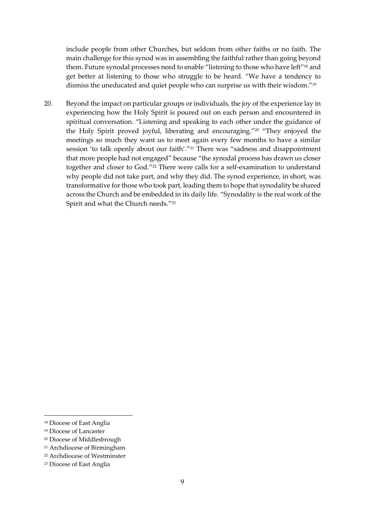include people from other Churches, but seldom from other faiths or no faith. The main challenge for this synod was in assembling the faithful rather than going beyond them. Future synodal processes need to enable "listening to those who have left"<sup>18</sup> and get better at listening to those who struggle to be heard. "We have a tendency to dismiss the uneducated and quiet people who can surprise us with their wisdom."<sup>19</sup>

20. Beyond the impact on particular groups or individuals, the joy of the experience lay in experiencing how the Holy Spirit is poured out on each person and encountered in spiritual conversation. "Listening and speaking to each other under the guidance of the Holy Spirit proved joyful, liberating and encouraging."<sup>20</sup> "They enjoyed the meetings so much they want us to meet again every few months to have a similar session 'to talk openly about our faith'."<sup>21</sup> There was "sadness and disappointment that more people had not engaged" because "the synodal process has drawn us closer together and closer to God."<sup>22</sup> There were calls for a self-examination to understand why people did not take part, and why they did. The synod experience, in short, was transformative for those who took part, leading them to hope that synodality be shared across the Church and be embedded in its daily life. "Synodality is the real work of the Spirit and what the Church needs."<sup>23</sup>

<sup>18</sup> Diocese of East Anglia

<sup>19</sup> Diocese of Lancaster

<sup>20</sup> Diocese of Middlesbrough

<sup>21</sup> Archdiocese of Birmingham

<sup>22</sup> Archdiocese of Westminster

<sup>23</sup> Diocese of East Anglia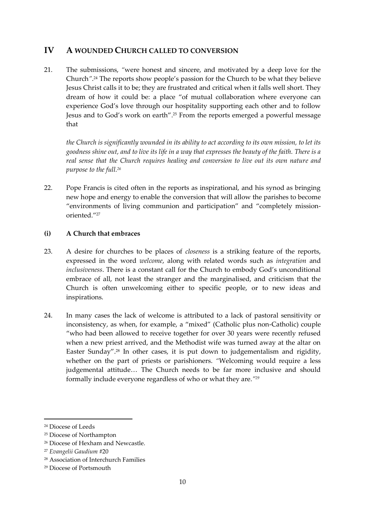### **IV A WOUNDED CHURCH CALLED TO CONVERSION**

21. The submissions, *"*were honest and sincere, and motivated by a deep love for the Church*"*. <sup>24</sup> The reports show people's passion for the Church to be what they believe Jesus Christ calls it to be; they are frustrated and critical when it falls well short. They dream of how it could be: a place "of mutual collaboration where everyone can experience God's love through our hospitality supporting each other and to follow Jesus and to God's work on earth". <sup>25</sup> From the reports emerged a powerful message that

*the Church is significantly wounded in its ability to act according to its own mission, to let its goodness shine out, and to live its life in a way that expresses the beauty of the faith. There is a real sense that the Church requires healing and conversion to live out its own nature and purpose to the full. 26*

22. Pope Francis is cited often in the reports as inspirational, and his synod as bringing new hope and energy to enable the conversion that will allow the parishes to become "environments of living communion and participation" and "completely missionoriented."<sup>27</sup>

#### **(i) A Church that embraces**

- 23. A desire for churches to be places of *closeness* is a striking feature of the reports, expressed in the word *welcome*, along with related words such as *integration* and *inclusiveness*. There is a constant call for the Church to embody God's unconditional embrace of all, not least the stranger and the marginalised, and criticism that the Church is often unwelcoming either to specific people, or to new ideas and inspirations.
- 24. In many cases the lack of welcome is attributed to a lack of pastoral sensitivity or inconsistency, as when, for example, a "mixed" (Catholic plus non-Catholic) couple "who had been allowed to receive together for over 30 years were recently refused when a new priest arrived, and the Methodist wife was turned away at the altar on Easter Sunday". <sup>28</sup> In other cases, it is put down to judgementalism and rigidity, whether on the part of priests or parishioners. *"*Welcoming would require a less judgemental attitude… The Church needs to be far more inclusive and should formally include everyone regardless of who or what they are.*" 29*

<sup>24</sup> Diocese of Leeds

<sup>25</sup> Diocese of Northampton

<sup>26</sup> Diocese of Hexham and Newcastle.

<sup>27</sup> *Evangelii Gaudium* #20

<sup>28</sup> Association of Interchurch Families

<sup>29</sup> Diocese of Portsmouth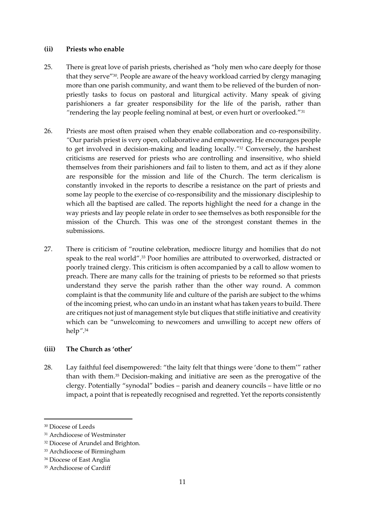#### **(ii) Priests who enable**

- 25. There is great love of parish priests, cherished as "holy men who care deeply for those that they serve" 30 *.* People are aware of the heavy workload carried by clergy managing more than one parish community, and want them to be relieved of the burden of nonpriestly tasks to focus on pastoral and liturgical activity. Many speak of giving parishioners a far greater responsibility for the life of the parish, rather than *"*rendering the lay people feeling nominal at best, or even hurt or overlooked*.*" 31
- 26. Priests are most often praised when they enable collaboration and co-responsibility. *"*Our parish priest is very open, collaborative and empowering. He encourages people to get involved in decision-making and leading locally.*" <sup>32</sup>* Conversely, the harshest criticisms are reserved for priests who are controlling and insensitive, who shield themselves from their parishioners and fail to listen to them, and act as if they alone are responsible for the mission and life of the Church. The term clericalism is constantly invoked in the reports to describe a resistance on the part of priests and some lay people to the exercise of co-responsibility and the missionary discipleship to which all the baptised are called. The reports highlight the need for a change in the way priests and lay people relate in order to see themselves as both responsible for the mission of the Church. This was one of the strongest constant themes in the submissions.
- 27. There is criticism of "routine celebration, mediocre liturgy and homilies that do not speak to the real world".<sup>33</sup> Poor homilies are attributed to overworked, distracted or poorly trained clergy. This criticism is often accompanied by a call to allow women to preach. There are many calls for the training of priests to be reformed so that priests understand they serve the parish rather than the other way round. A common complaint is that the community life and culture of the parish are subject to the whims of the incoming priest, who can undo in an instant what has taken years to build. There are critiques not just of management style but cliques that stifle initiative and creativity which can be "unwelcoming to newcomers and unwilling to accept new offers of help*"*. 34

#### **(iii) The Church as 'other'**

28. Lay faithful feel disempowered: "the laity felt that things were 'done to them'" rather than with them.<sup>35</sup> Decision-making and initiative are seen as the prerogative of the clergy. Potentially "synodal" bodies – parish and deanery councils – have little or no impact, a point that is repeatedly recognised and regretted. Yet the reports consistently

<sup>34</sup> Diocese of East Anglia

<sup>&</sup>lt;sup>30</sup> Diocese of Leeds

<sup>&</sup>lt;sup>31</sup> Archdiocese of Westminster

<sup>32</sup> Diocese of Arundel and Brighton*.*

<sup>33</sup> Archdiocese of Birmingham

<sup>&</sup>lt;sup>35</sup> Archdiocese of Cardiff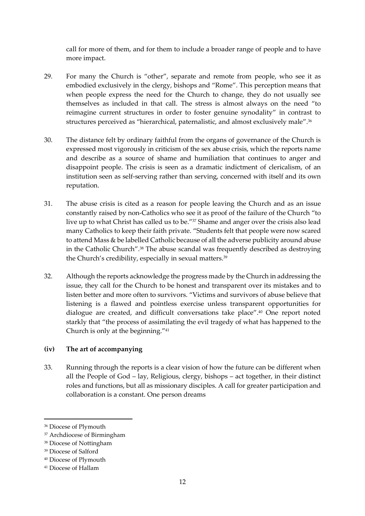call for more of them, and for them to include a broader range of people and to have more impact.

- 29. For many the Church is "other", separate and remote from people, who see it as embodied exclusively in the clergy, bishops and "Rome". This perception means that when people express the need for the Church to change, they do not usually see themselves as included in that call. The stress is almost always on the need "to reimagine current structures in order to foster genuine synodality" in contrast to structures perceived as "hierarchical, paternalistic, and almost exclusively male". 36
- 30. The distance felt by ordinary faithful from the organs of governance of the Church is expressed most vigorously in criticism of the sex abuse crisis, which the reports name and describe as a source of shame and humiliation that continues to anger and disappoint people. The crisis is seen as a dramatic indictment of clericalism, of an institution seen as self-serving rather than serving, concerned with itself and its own reputation.
- 31. The abuse crisis is cited as a reason for people leaving the Church and as an issue constantly raised by non-Catholics who see it as proof of the failure of the Church "to live up to what Christ has called us to be."<sup>37</sup> Shame and anger over the crisis also lead many Catholics to keep their faith private. "Students felt that people were now scared to attend Mass & be labelled Catholic because of all the adverse publicity around abuse in the Catholic Church". <sup>38</sup> The abuse scandal was frequently described as destroying the Church's credibility, especially in sexual matters. 39
- 32. Although the reports acknowledge the progress made by the Church in addressing the issue, they call for the Church to be honest and transparent over its mistakes and to listen better and more often to survivors. "Victims and survivors of abuse believe that listening is a flawed and pointless exercise unless transparent opportunities for dialogue are created, and difficult conversations take place". <sup>40</sup> One report noted starkly that "the process of assimilating the evil tragedy of what has happened to the Church is only at the beginning."<sup>41</sup>

#### **(iv) The art of accompanying**

33. Running through the reports is a clear vision of how the future can be different when all the People of God – lay, Religious, clergy, bishops – act together, in their distinct roles and functions, but all as missionary disciples. A call for greater participation and collaboration is a constant. One person dreams

<sup>36</sup> Diocese of Plymouth

<sup>37</sup> Archdiocese of Birmingham

<sup>38</sup> Diocese of Nottingham

<sup>39</sup> Diocese of Salford

<sup>40</sup> Diocese of Plymouth

<sup>41</sup> Diocese of Hallam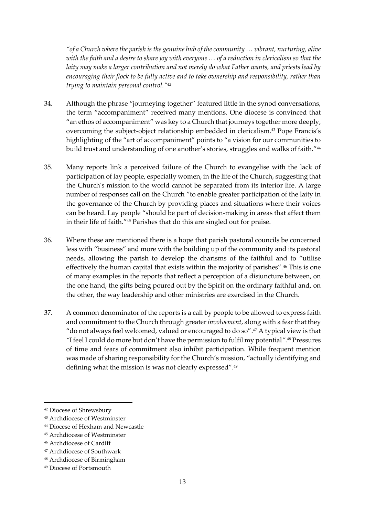*"of a Church where the parish is the genuine hub of the community … vibrant, nurturing, alive with the faith and a desire to share joy with everyone … of a reduction in clericalism so that the laity may make a larger contribution and not merely do what Father wants, and priests lead by encouraging their flock to be fully active and to take ownership and responsibility, rather than trying to maintain personal control." 42*

- 34. Although the phrase "journeying together" featured little in the synod conversations, the term "accompaniment" received many mentions. One diocese is convinced that "an ethos of accompaniment" was key to a Church that journeys together more deeply, overcoming the subject-object relationship embedded in clericalism.<sup>43</sup> Pope Francis's highlighting of the "art of accompaniment" points to "a vision for our communities to build trust and understanding of one another's stories, struggles and walks of faith."<sup>44</sup>
- 35. Many reports link a perceived failure of the Church to evangelise with the lack of participation of lay people, especially women, in the life of the Church, suggesting that the Church's mission to the world cannot be separated from its interior life. A large number of responses call on the Church "to enable greater participation of the laity in the governance of the Church by providing places and situations where their voices can be heard. Lay people "should be part of decision-making in areas that affect them in their life of faith."<sup>45</sup> Parishes that do this are singled out for praise.
- 36. Where these are mentioned there is a hope that parish pastoral councils be concerned less with "business" and more with the building up of the community and its pastoral needs, allowing the parish to develop the charisms of the faithful and to "utilise effectively the human capital that exists within the majority of parishes".<sup>46</sup> This is one of many examples in the reports that reflect a perception of a disjuncture between, on the one hand, the gifts being poured out by the Spirit on the ordinary faithful and, on the other, the way leadership and other ministries are exercised in the Church.
- 37. A common denominator of the reports is a call by people to be allowed to express faith and commitment to the Church through greater *involvement*, along with a fearthat they "do not always feel welcomed, valued or encouraged to do so". <sup>47</sup> A typical view is that *"*I feel I could do more but don't have the permission to fulfil my potential*"*. <sup>48</sup> Pressures of time and fears of commitment also inhibit participation. While frequent mention was made of sharing responsibility for the Church's mission, "actually identifying and defining what the mission is was not clearly expressed".<sup>49</sup>

<sup>47</sup> Archdiocese of Southwark

<sup>42</sup> Diocese of Shrewsbury

<sup>43</sup> Archdiocese of Westminster

<sup>44</sup> Diocese of Hexham and Newcastle

<sup>45</sup> Archdiocese of Westminster

<sup>46</sup> Archdiocese of Cardiff

<sup>48</sup> Archdiocese of Birmingham

<sup>49</sup> Diocese of Portsmouth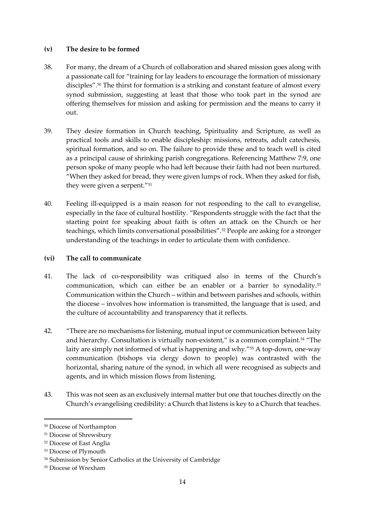#### **(v) The desire to be formed**

- 38. For many, the dream of a Church of collaboration and shared mission goes along with a passionate call for "training for lay leaders to encourage the formation of missionary disciples". <sup>50</sup> The thirst for formation is a striking and constant feature of almost every synod submission, suggesting at least that those who took part in the synod are offering themselves for mission and asking for permission and the means to carry it out.
- 39. They desire formation in Church teaching, Spirituality and Scripture, as well as practical tools and skills to enable discipleship: missions, retreats, adult catechesis, spiritual formation, and so on. The failure to provide these and to teach well is cited as a principal cause of shrinking parish congregations. Referencing Matthew 7:9, one person spoke of many people who had left because their faith had not been nurtured. "When they asked for bread, they were given lumps of rock. When they asked for fish, they were given a serpent."<sup>51</sup>
- 40. Feeling ill-equipped is a main reason for not responding to the call to evangelise, especially in the face of cultural hostility. "Respondents struggle with the fact that the starting point for speaking about faith is often an attack on the Church or her teachings, which limits conversational possibilities".<sup>52</sup> People are asking for a stronger understanding of the teachings in order to articulate them with confidence.

#### **(vi) The call to communicate**

- 41. The lack of co-responsibility was critiqued also in terms of the Church's communication, which can either be an enabler or a barrier to synodality.<sup>53</sup> Communication within the Church – within and between parishes and schools, within the diocese – involves how information is transmitted, the language that is used, and the culture of accountability and transparency that it reflects.
- 42. "There are no mechanisms for listening, mutual input or communication between laity and hierarchy. Consultation is virtually non-existent," is a common complaint.<sup>54</sup> "The laity are simply not informed of what is happening and why."<sup>55</sup> A top-down, one-way communication (bishops via clergy down to people) was contrasted with the horizontal, sharing nature of the synod, in which all were recognised as subjects and agents, and in which mission flows from listening.
- 43. This was not seen as an exclusively internal matter but one that touches directly on the Church's evangelising credibility: a Church that listens is key to a Church that teaches.

<sup>50</sup> Diocese of Northampton

<sup>51</sup> Diocese of Shrewsbury

<sup>52</sup> Diocese of East Anglia

<sup>53</sup> Diocese of Plymouth

<sup>54</sup> Submission by Senior Catholics at the University of Cambridge

<sup>55</sup> Diocese of Wrexham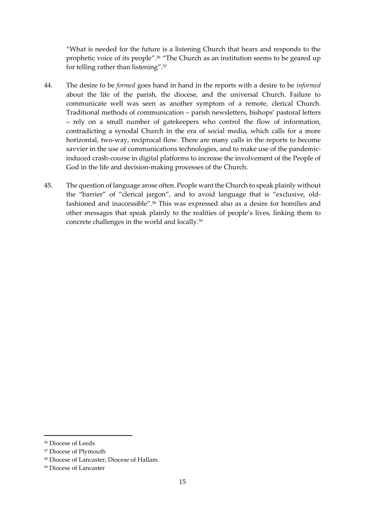"What is needed for the future is a listening Church that hears and responds to the prophetic voice of its people". <sup>56</sup> "The Church as an institution seems to be geared up for telling rather than listening".<sup>57</sup>

- 44. The desire to be *formed* goes hand in hand in the reports with a desire to be *informed* about the life of the parish, the diocese, and the universal Church. Failure to communicate well was seen as another symptom of a remote, clerical Church. Traditional methods of communication – parish newsletters, bishops' pastoral letters – rely on a small number of gatekeepers who control the flow of information, contradicting a synodal Church in the era of social media, which calls for a more horizontal, two-way, reciprocal flow. There are many calls in the reports to become savvier in the use of communications technologies, and to make use of the pandemicinduced crash-course in digital platforms to increase the involvement of the People of God in the life and decision-making processes of the Church.
- 45. The question of language arose often. People want the Church to speak plainly without the "barrier" of "clerical jargon", and to avoid language that is "exclusive, oldfashioned and inaccessible".<sup>58</sup> This was expressed also as a desire for homilies and other messages that speak plainly to the realities of people's lives, linking them to concrete challenges in the world and locally. 59

<sup>56</sup> Diocese of Leeds

<sup>57</sup> Diocese of Plymouth

<sup>58</sup> Diocese of Lancaster, Diocese of Hallam.

<sup>59</sup> Diocese of Lancaster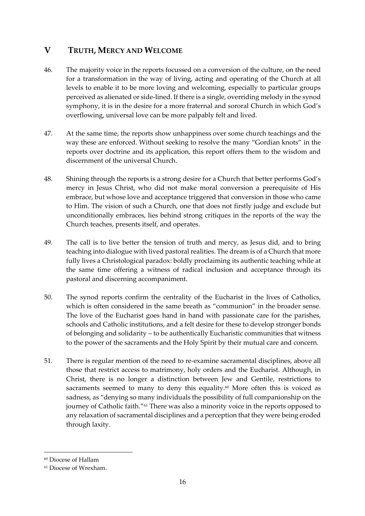## **V TRUTH, MERCY AND WELCOME**

- 46. The majority voice in the reports focussed on a conversion of the culture, on the need for a transformation in the way of living, acting and operating of the Church at all levels to enable it to be more loving and welcoming, especially to particular groups perceived as alienated or side-lined. If there is a single, overriding melody in the synod symphony, it is in the desire for a more fraternal and sororal Church in which God's overflowing, universal love can be more palpably felt and lived.
- 47. At the same time, the reports show unhappiness over some church teachings and the way these are enforced. Without seeking to resolve the many "Gordian knots" in the reports over doctrine and its application, this report offers them to the wisdom and discernment of the universal Church.
- 48. Shining through the reports is a strong desire for a Church that better performs God's mercy in Jesus Christ, who did not make moral conversion a prerequisite of His embrace, but whose love and acceptance triggered that conversion in those who came to Him. The vision of such a Church, one that does not firstly judge and exclude but unconditionally embraces, lies behind strong critiques in the reports of the way the Church teaches, presents itself, and operates.
- 49. The call is to live better the tension of truth and mercy, as Jesus did, and to bring teaching into dialogue with lived pastoral realities. The dream is of a Church that more fully lives a Christological paradox: boldly proclaiming its authentic teaching while at the same time offering a witness of radical inclusion and acceptance through its pastoral and discerning accompaniment.
- 50. The synod reports confirm the centrality of the Eucharist in the lives of Catholics, which is often considered in the same breath as "communion" in the broader sense. The love of the Eucharist goes hand in hand with passionate care for the parishes, schools and Catholic institutions, and a felt desire for these to develop stronger bonds of belonging and solidarity – to be authentically Eucharistic communities that witness to the power of the sacraments and the Holy Spirit by their mutual care and concern.
- 51. There is regular mention of the need to re-examine sacramental disciplines, above all those that restrict access to matrimony, holy orders and the Eucharist. Although, in Christ, there is no longer a distinction between Jew and Gentile, restrictions to sacraments seemed to many to deny this equality. <sup>60</sup> More often this is voiced as sadness, as "denying so many individuals the possibility of full companionship on the journey of Catholic faith." <sup>61</sup> There was also a minority voice in the reports opposed to any relaxation of sacramental disciplines and a perception that they were being eroded through laxity.

<sup>60</sup> Diocese of Hallam

<sup>61</sup> Diocese of Wrexham.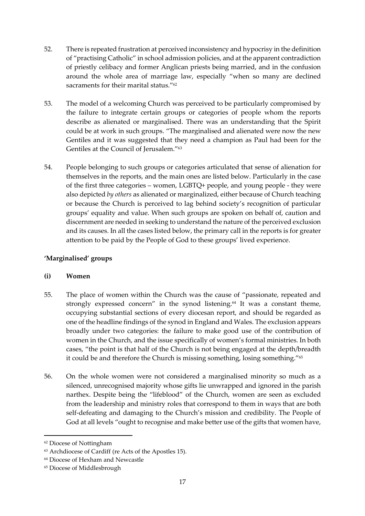- 52. There is repeated frustration at perceived inconsistency and hypocrisy in the definition of "practising Catholic" in school admission policies, and at the apparent contradiction of priestly celibacy and former Anglican priests being married, and in the confusion around the whole area of marriage law, especially "when so many are declined sacraments for their marital status." 62
- 53. The model of a welcoming Church was perceived to be particularly compromised by the failure to integrate certain groups or categories of people whom the reports describe as alienated or marginalised. There was an understanding that the Spirit could be at work in such groups. "The marginalised and alienated were now the new Gentiles and it was suggested that they need a champion as Paul had been for the Gentiles at the Council of Jerusalem."<sup>63</sup>
- 54. People belonging to such groups or categories articulated that sense of alienation for themselves in the reports, and the main ones are listed below. Particularly in the case of the first three categories – women, LGBTQ+ people, and young people - they were also depicted *by others* as alienated or marginalized, either because of Church teaching or because the Church is perceived to lag behind society's recognition of particular groups' equality and value. When such groups are spoken on behalf of, caution and discernment are needed in seeking to understand the nature of the perceived exclusion and its causes. In all the cases listed below, the primary call in the reports is for greater attention to be paid by the People of God to these groups' lived experience.

#### **'Marginalised' groups**

#### **(i) Women**

- 55. The place of women within the Church was the cause of "passionate, repeated and strongly expressed concern" in the synod listening.<sup>64</sup> It was a constant theme, occupying substantial sections of every diocesan report, and should be regarded as one of the headline findings of the synod in England and Wales. The exclusion appears broadly under two categories: the failure to make good use of the contribution of women in the Church, and the issue specifically of women's formal ministries. In both cases, "the point is that half of the Church is not being engaged at the depth/breadth it could be and therefore the Church is missing something, losing something."<sup>65</sup>
- 56. On the whole women were not considered a marginalised minority so much as a silenced, unrecognised majority whose gifts lie unwrapped and ignored in the parish narthex. Despite being the "lifeblood" of the Church, women are seen as excluded from the leadership and ministry roles that correspond to them in ways that are both self-defeating and damaging to the Church's mission and credibility. The People of God at all levels "ought to recognise and make better use of the gifts that women have,

<sup>62</sup> Diocese of Nottingham

<sup>63</sup> Archdiocese of Cardiff (re Acts of the Apostles 15).

<sup>64</sup> Diocese of Hexham and Newcastle

<sup>65</sup> Diocese of Middlesbrough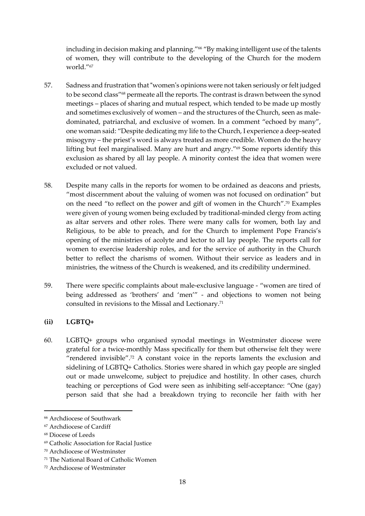including in decision making and planning."<sup>66</sup> "By making intelligent use of the talents of women, they will contribute to the developing of the Church for the modern world."<sup>67</sup>

- 57. Sadness and frustration that "women's opinions were not taken seriously or felt judged to be second class"<sup>68</sup> permeate all the reports. The contrast is drawn between the synod meetings – places of sharing and mutual respect, which tended to be made up mostly and sometimes exclusively of women – and the structures of the Church, seen as maledominated, patriarchal, and exclusive of women. In a comment "echoed by many", one woman said: "Despite dedicating my life to the Church, I experience a deep-seated misogyny – the priest's word is always treated as more credible. Women do the heavy lifting but feel marginalised. Many are hurt and angry."<sup>69</sup> Some reports identify this exclusion as shared by all lay people. A minority contest the idea that women were excluded or not valued.
- 58. Despite many calls in the reports for women to be ordained as deacons and priests, "most discernment about the valuing of women was not focused on ordination" but on the need "to reflect on the power and gift of women in the Church".<sup>70</sup> Examples were given of young women being excluded by traditional-minded clergy from acting as altar servers and other roles. There were many calls for women, both lay and Religious, to be able to preach, and for the Church to implement Pope Francis's opening of the ministries of acolyte and lector to all lay people. The reports call for women to exercise leadership roles, and for the service of authority in the Church better to reflect the charisms of women. Without their service as leaders and in ministries, the witness of the Church is weakened, and its credibility undermined.
- 59. There were specific complaints about male-exclusive language "women are tired of being addressed as 'brothers' and 'men'" - and objections to women not being consulted in revisions to the Missal and Lectionary.<sup>71</sup>

#### **(ii) LGBTQ+**

60. LGBTQ+ groups who organised synodal meetings in Westminster diocese were grateful for a twice-monthly Mass specifically for them but otherwise felt they were "rendered invisible". <sup>72</sup> A constant voice in the reports laments the exclusion and sidelining of LGBTQ+ Catholics. Stories were shared in which gay people are singled out or made unwelcome, subject to prejudice and hostility. In other cases, church teaching or perceptions of God were seen as inhibiting self-acceptance: "One (gay) person said that she had a breakdown trying to reconcile her faith with her

<sup>66</sup> Archdiocese of Southwark

<sup>67</sup> Archdiocese of Cardiff

<sup>68</sup> Diocese of Leeds

<sup>69</sup> Catholic Association for Racial Justice

<sup>70</sup> Archdiocese of Westminster

<sup>71</sup> The National Board of Catholic Women

<sup>72</sup> Archdiocese of Westminster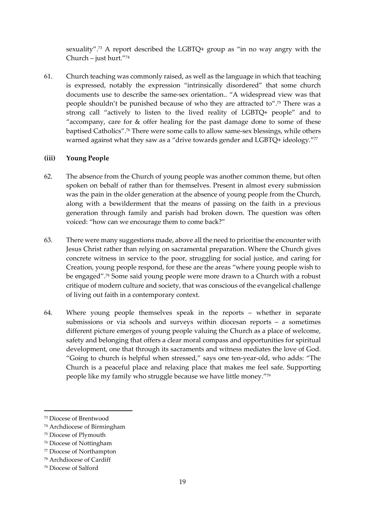sexuality". <sup>73</sup> A report described the LGBTQ+ group as "in no way angry with the Church – just hurt."<sup>74</sup>

61. Church teaching was commonly raised, as well as the language in which that teaching is expressed, notably the expression "intrinsically disordered" that some church documents use to describe the same-sex orientation.. "A widespread view was that people shouldn't be punished because of who they are attracted to". <sup>75</sup> There was a strong call "actively to listen to the lived reality of LGBTQ+ people" and to "accompany, care for & offer healing for the past damage done to some of these baptised Catholics". <sup>76</sup> There were some calls to allow same-sex blessings, while others warned against what they saw as a "drive towards gender and LGBTQ+ ideology."77

#### **(iii) Young People**

- 62. The absence from the Church of young people was another common theme, but often spoken on behalf of rather than for themselves. Present in almost every submission was the pain in the older generation at the absence of young people from the Church, along with a bewilderment that the means of passing on the faith in a previous generation through family and parish had broken down. The question was often voiced: "how can we encourage them to come back?"
- 63. There were many suggestions made, above all the need to prioritise the encounter with Jesus Christ rather than relying on sacramental preparation. Where the Church gives concrete witness in service to the poor, struggling for social justice, and caring for Creation, young people respond, for these are the areas "where young people wish to be engaged".<sup>78</sup> Some said young people were more drawn to a Church with a robust critique of modern culture and society, that was conscious of the evangelical challenge of living out faith in a contemporary context.
- 64. Where young people themselves speak in the reports whether in separate submissions or via schools and surveys within diocesan reports – a sometimes different picture emerges of young people valuing the Church as a place of welcome, safety and belonging that offers a clear moral compass and opportunities for spiritual development, one that through its sacraments and witness mediates the love of God. "Going to church is helpful when stressed," says one ten-year-old, who adds: "The Church is a peaceful place and relaxing place that makes me feel safe. Supporting people like my family who struggle because we have little money."<sup>79</sup>

<sup>73</sup> Diocese of Brentwood

<sup>74</sup> Archdiocese of Birmingham

<sup>75</sup> Diocese of Plymouth

<sup>76</sup> Diocese of Nottingham

<sup>77</sup> Diocese of Northampton

<sup>78</sup> Archdiocese of Cardiff

<sup>79</sup> Diocese of Salford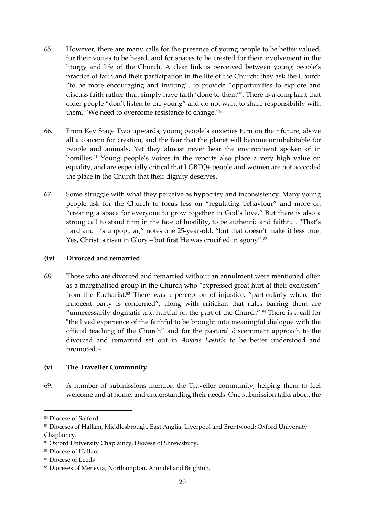- 65. However, there are many calls for the presence of young people to be better valued, for their voices to be heard, and for spaces to be created for their involvement in the liturgy and life of the Church. A clear link is perceived between young people's practice of faith and their participation in the life of the Church: they ask the Church "to be more encouraging and inviting", to provide "opportunities to explore and discuss faith rather than simply have faith 'done to them'". There is a complaint that older people "don't listen to the young" and do not want to share responsibility with them. "We need to overcome resistance to change."<sup>80</sup>
- 66. From Key Stage Two upwards, young people's anxieties turn on their future, above all a concern for creation, and the fear that the planet will become uninhabitable for people and animals. Yet they almost never hear the environment spoken of in homilies.<sup>81</sup> Young people's voices in the reports also place a very high value on equality, and are especially critical that LGBTQ+ people and women are not accorded the place in the Church that their dignity deserves.
- 67. Some struggle with what they perceive as hypocrisy and inconsistency. Many young people ask for the Church to focus less on "regulating behaviour" and more on "creating a space for everyone to grow together in God's love." But there is also a strong call to stand firm in the face of hostility, to be authentic and faithful. "That's hard and it's unpopular," notes one 25-year-old, "but that doesn't make it less true. Yes, Christ is risen in Glory – but first He was crucified in agony".<sup>82</sup>

#### **(iv) Divorced and remarried**

68. Those who are divorced and remarried without an annulment were mentioned often as a marginalised group in the Church who "expressed great hurt at their exclusion" from the Eucharist. <sup>83</sup> There was a perception of injustice, "particularly where the innocent party is concerned", along with criticism that rules barring them are "unnecessarily dogmatic and hurtful on the part of the Church". <sup>84</sup> There is a call for "the lived experience of the faithful to be brought into meaningful dialogue with the official teaching of the Church" and for the pastoral discernment approach to the divorced and remarried set out in *Amoris Laetitia* to be better understood and promoted.<sup>85</sup>

#### **(v) The Traveller Community**

69. A number of submissions mention the Traveller community, helping them to feel welcome and at home, and understanding their needs. One submission talks about the

<sup>80</sup> Diocese of Salford

<sup>81</sup> Dioceses of Hallam, Middlesbrough, East Anglia, Liverpool and Brentwood; Oxford University Chaplaincy.

<sup>82</sup> Oxford University Chaplaincy, Diocese of Shrewsbury.

<sup>83</sup> Diocese of Hallam

<sup>84</sup> Diocese of Leeds

<sup>85</sup> Dioceses of Menevia, Northampton, Arundel and Brighton.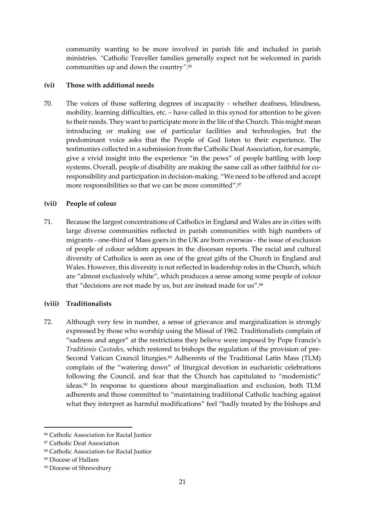community wanting to be more involved in parish life and included in parish ministries. *"*Catholic Traveller families generally expect not be welcomed in parish communities up and down the country*"*. 86

#### **(vi) Those with additional needs**

70. The voices of those suffering degrees of incapacity - whether deafness, blindness, mobility, learning difficulties, etc. – have called in this synod for attention to be given to their needs. They want to participate more in the life of the Church. This might mean introducing or making use of particular facilities and technologies, but the predominant voice asks that the People of God listen to their experience. The testimonies collected in a submission from the Catholic Deaf Association, for example, give a vivid insight into the experience "in the pews" of people battling with loop systems. Overall, people of disability are making the same call as other faithful for coresponsibility and participation in decision-making. "We need to be offered and accept more responsibilities so that we can be more committed". 87

#### **(vii) People of colour**

71. Because the largest concentrations of Catholics in England and Wales are in cities with large diverse communities reflected in parish communities with high numbers of migrants - one-third of Mass goers in the UK are born overseas - the issue of exclusion of people of colour seldom appears in the diocesan reports. The racial and cultural diversity of Catholics is seen as one of the great gifts of the Church in England and Wales. However, this diversity is not reflected in leadership roles in the Church, which are "almost exclusively white", which produces a sense among some people of colour that "decisions are not made by us, but are instead made for us".<sup>88</sup>

#### **(viii) Traditionalists**

72. Although very few in number, a sense of grievance and marginalization is strongly expressed by those who worship using the Missal of 1962. Traditionalists complain of "sadness and anger" at the restrictions they believe were imposed by Pope Francis's *Traditionis Custodes*, which restored to bishops the regulation of the provision of pre-Second Vatican Council liturgies. <sup>89</sup> Adherents of the Traditional Latin Mass (TLM) complain of the "watering down" of liturgical devotion in eucharistic celebrations following the Council, and fear that the Church has capitulated to "modernistic" ideas. <sup>90</sup> In response to questions about marginalisation and exclusion, both TLM adherents and those committed to "maintaining traditional Catholic teaching against what they interpret as harmful modifications" feel "badly treated by the bishops and

<sup>86</sup> Catholic Association for Racial Justice

<sup>87</sup> Catholic Deaf Association

<sup>88</sup> Catholic Association for Racial Justice

<sup>89</sup> Diocese of Hallam

<sup>&</sup>lt;sup>90</sup> Diocese of Shrewsbury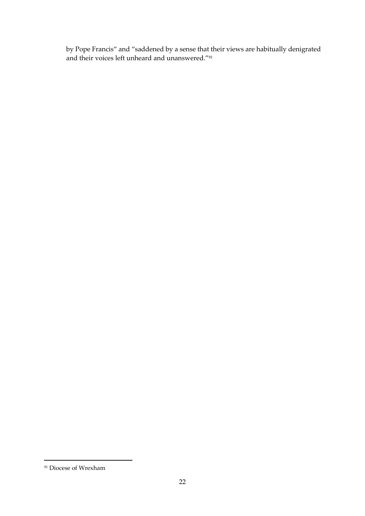by Pope Francis" and "saddened by a sense that their views are habitually denigrated and their voices left unheard and unanswered."<sup>91</sup>

<sup>&</sup>lt;sup>91</sup> Diocese of Wrexham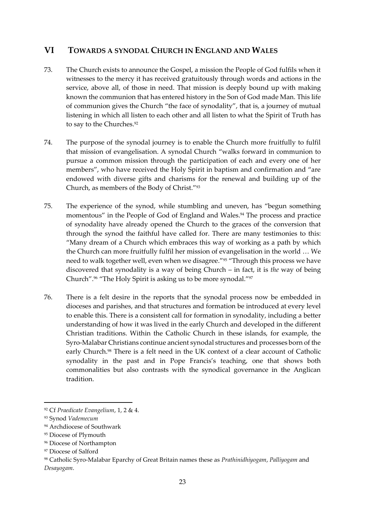## **VI TOWARDS A SYNODAL CHURCH IN ENGLAND AND WALES**

- 73. The Church exists to announce the Gospel, a mission the People of God fulfils when it witnesses to the mercy it has received gratuitously through words and actions in the service, above all, of those in need. That mission is deeply bound up with making known the communion that has entered history in the Son of God made Man. This life of communion gives the Church "the face of synodality", that is, a journey of mutual listening in which all listen to each other and all listen to what the Spirit of Truth has to say to the Churches.<sup>92</sup>
- 74. The purpose of the synodal journey is to enable the Church more fruitfully to fulfil that mission of evangelisation. A synodal Church "walks forward in communion to pursue a common mission through the participation of each and every one of her members", who have received the Holy Spirit in baptism and confirmation and "are endowed with diverse gifts and charisms for the renewal and building up of the Church, as members of the Body of Christ."<sup>93</sup>
- 75. The experience of the synod, while stumbling and uneven, has "begun something momentous" in the People of God of England and Wales.<sup>94</sup> The process and practice of synodality have already opened the Church to the graces of the conversion that through the synod the faithful have called for. There are many testimonies to this: "Many dream of a Church which embraces this way of working as a path by which the Church can more fruitfully fulfil her mission of evangelisation in the world … We need to walk together well, even when we disagree."<sup>95</sup> "Through this process we have discovered that synodality is a way of being Church – in fact, it is *the* way of being Church".<sup>96</sup> "The Holy Spirit is asking us to be more synodal."<sup>97</sup>
- 76. There is a felt desire in the reports that the synodal process now be embedded in dioceses and parishes, and that structures and formation be introduced at every level to enable this. There is a consistent call for formation in synodality, including a better understanding of how it was lived in the early Church and developed in the different Christian traditions. Within the Catholic Church in these islands, for example, the Syro-Malabar Christians continue ancient synodal structures and processes born of the early Church.<sup>98</sup> There is a felt need in the UK context of a clear account of Catholic synodality in the past and in Pope Francis's teaching, one that shows both commonalities but also contrasts with the synodical governance in the Anglican tradition.

<sup>92</sup> Cf *Praedicate Evangelium*, 1, 2 & 4.

<sup>93</sup> Synod *Vademecum*

<sup>94</sup> Archdiocese of Southwark

<sup>95</sup> Diocese of Plymouth

<sup>96</sup> Diocese of Northampton

<sup>97</sup> Diocese of Salford

<sup>98</sup> Catholic Syro-Malabar Eparchy of Great Britain names these as *Prathinidhiyogam*, *Palliyogam* and *Desayogam*.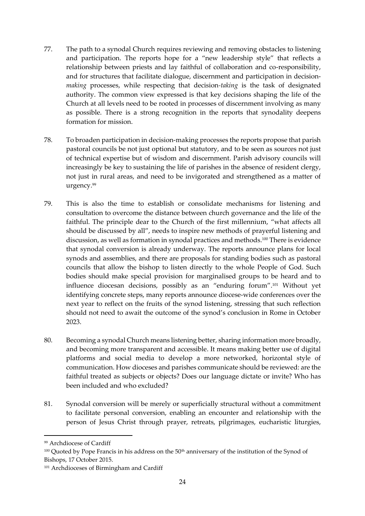- 77. The path to a synodal Church requires reviewing and removing obstacles to listening and participation. The reports hope for a "new leadership style" that reflects a relationship between priests and lay faithful of collaboration and co-responsibility, and for structures that facilitate dialogue, discernment and participation in decision*making* processes, while respecting that decision*-taking* is the task of designated authority. The common view expressed is that key decisions shaping the life of the Church at all levels need to be rooted in processes of discernment involving as many as possible. There is a strong recognition in the reports that synodality deepens formation for mission.
- 78. To broaden participation in decision-making processes the reports propose that parish pastoral councils be not just optional but statutory, and to be seen as sources not just of technical expertise but of wisdom and discernment. Parish advisory councils will increasingly be key to sustaining the life of parishes in the absence of resident clergy, not just in rural areas, and need to be invigorated and strengthened as a matter of urgency. 99
- 79. This is also the time to establish or consolidate mechanisms for listening and consultation to overcome the distance between church governance and the life of the faithful. The principle dear to the Church of the first millennium, "what affects all should be discussed by all", needs to inspire new methods of prayerful listening and discussion, as well as formation in synodal practices and methods. <sup>100</sup> There is evidence that synodal conversion is already underway. The reports announce plans for local synods and assemblies, and there are proposals for standing bodies such as pastoral councils that allow the bishop to listen directly to the whole People of God. Such bodies should make special provision for marginalised groups to be heard and to influence diocesan decisions, possibly as an "enduring forum". <sup>101</sup> Without yet identifying concrete steps, many reports announce diocese-wide conferences over the next year to reflect on the fruits of the synod listening, stressing that such reflection should not need to await the outcome of the synod's conclusion in Rome in October 2023.
- 80. Becoming a synodal Church means listening better, sharing information more broadly, and becoming more transparent and accessible. It means making better use of digital platforms and social media to develop a more networked, horizontal style of communication. How dioceses and parishes communicate should be reviewed: are the faithful treated as subjects or objects? Does our language dictate or invite? Who has been included and who excluded?
- 81. Synodal conversion will be merely or superficially structural without a commitment to facilitate personal conversion, enabling an encounter and relationship with the person of Jesus Christ through prayer, retreats, pilgrimages, eucharistic liturgies,

<sup>99</sup> Archdiocese of Cardiff

<sup>100</sup> Quoted by Pope Francis in his address on the 50<sup>th</sup> anniversary of the institution of the Synod of Bishops, 17 October 2015.

<sup>&</sup>lt;sup>101</sup> Archdioceses of Birmingham and Cardiff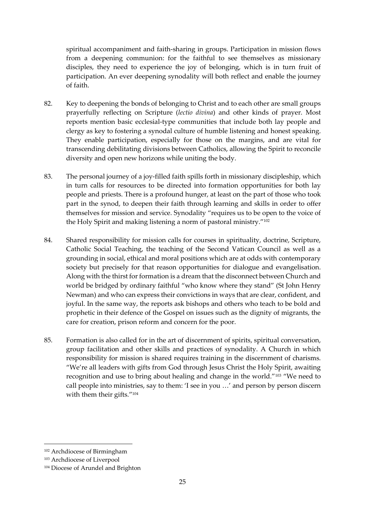spiritual accompaniment and faith-sharing in groups. Participation in mission flows from a deepening communion: for the faithful to see themselves as missionary disciples, they need to experience the joy of belonging, which is in turn fruit of participation. An ever deepening synodality will both reflect and enable the journey of faith.

- 82. Key to deepening the bonds of belonging to Christ and to each other are small groups prayerfully reflecting on Scripture (*lectio divina*) and other kinds of prayer. Most reports mention basic ecclesial-type communities that include both lay people and clergy as key to fostering a synodal culture of humble listening and honest speaking. They enable participation, especially for those on the margins, and are vital for transcending debilitating divisions between Catholics, allowing the Spirit to reconcile diversity and open new horizons while uniting the body.
- 83. The personal journey of a joy-filled faith spills forth in missionary discipleship, which in turn calls for resources to be directed into formation opportunities for both lay people and priests. There is a profound hunger, at least on the part of those who took part in the synod, to deepen their faith through learning and skills in order to offer themselves for mission and service. Synodality "requires us to be open to the voice of the Holy Spirit and making listening a norm of pastoral ministry."<sup>102</sup>
- 84. Shared responsibility for mission calls for courses in spirituality, doctrine, Scripture, Catholic Social Teaching, the teaching of the Second Vatican Council as well as a grounding in social, ethical and moral positions which are at odds with contemporary society but precisely for that reason opportunities for dialogue and evangelisation. Along with the thirst for formation is a dream that the disconnect between Church and world be bridged by ordinary faithful "who know where they stand" (St John Henry Newman) and who can express their convictions in ways that are clear, confident, and joyful. In the same way, the reports ask bishops and others who teach to be bold and prophetic in their defence of the Gospel on issues such as the dignity of migrants, the care for creation, prison reform and concern for the poor.
- 85. Formation is also called for in the art of discernment of spirits, spiritual conversation, group facilitation and other skills and practices of synodality. A Church in which responsibility for mission is shared requires training in the discernment of charisms. "We're all leaders with gifts from God through Jesus Christ the Holy Spirit, awaiting recognition and use to bring about healing and change in the world."<sup>103</sup> "We need to call people into ministries, say to them: 'I see in you …' and person by person discern with them their gifts."<sup>104</sup>

<sup>102</sup> Archdiocese of Birmingham

<sup>103</sup> Archdiocese of Liverpool

<sup>104</sup> Diocese of Arundel and Brighton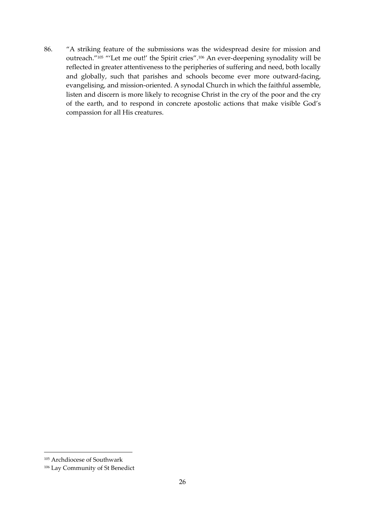86. "A striking feature of the submissions was the widespread desire for mission and outreach."<sup>105</sup> "'Let me out!' the Spirit cries". <sup>106</sup> An ever-deepening synodality will be reflected in greater attentiveness to the peripheries of suffering and need, both locally and globally, such that parishes and schools become ever more outward-facing, evangelising, and mission-oriented. A synodal Church in which the faithful assemble, listen and discern is more likely to recognise Christ in the cry of the poor and the cry of the earth, and to respond in concrete apostolic actions that make visible God's compassion for all His creatures.

<sup>105</sup> Archdiocese of Southwark

<sup>106</sup> Lay Community of St Benedict